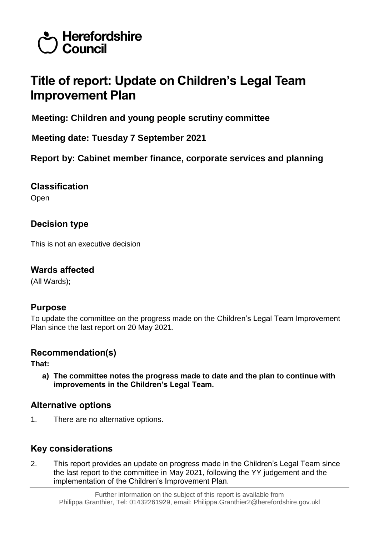

# **Title of report: Update on Children's Legal Team Improvement Plan**

**Meeting: Children and young people scrutiny committee**

**Meeting date: Tuesday 7 September 2021**

**Report by: Cabinet member finance, corporate services and planning**

**Classification**

Open

# **Decision type**

This is not an executive decision

### **Wards affected**

(All Wards);

# **Purpose**

To update the committee on the progress made on the Children's Legal Team Improvement Plan since the last report on 20 May 2021.

# **Recommendation(s)**

**That:**

**a) The committee notes the progress made to date and the plan to continue with improvements in the Children's Legal Team.**

# **Alternative options**

1. There are no alternative options.

# **Key considerations**

2. This report provides an update on progress made in the Children's Legal Team since the last report to the committee in May 2021, following the YY judgement and the implementation of the Children's Improvement Plan.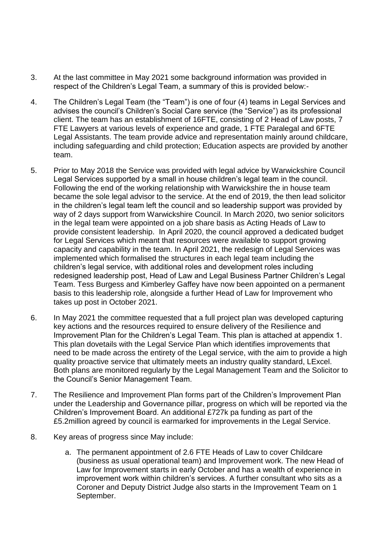- 3. At the last committee in May 2021 some background information was provided in respect of the Children's Legal Team, a summary of this is provided below:-
- 4. The Children's Legal Team (the "Team") is one of four (4) teams in Legal Services and advises the council's Children's Social Care service (the "Service") as its professional client. The team has an establishment of 16FTE, consisting of 2 Head of Law posts, 7 FTE Lawyers at various levels of experience and grade, 1 FTE Paralegal and 6FTE Legal Assistants. The team provide advice and representation mainly around childcare, including safeguarding and child protection; Education aspects are provided by another team.
- 5. Prior to May 2018 the Service was provided with legal advice by Warwickshire Council Legal Services supported by a small in house children's legal team in the council. Following the end of the working relationship with Warwickshire the in house team became the sole legal advisor to the service. At the end of 2019, the then lead solicitor in the children's legal team left the council and so leadership support was provided by way of 2 days support from Warwickshire Council. In March 2020, two senior solicitors in the legal team were appointed on a job share basis as Acting Heads of Law to provide consistent leadership. In April 2020, the council approved a dedicated budget for Legal Services which meant that resources were available to support growing capacity and capability in the team. In April 2021, the redesign of Legal Services was implemented which formalised the structures in each legal team including the children's legal service, with additional roles and development roles including redesigned leadership post, Head of Law and Legal Business Partner Children's Legal Team. Tess Burgess and Kimberley Gaffey have now been appointed on a permanent basis to this leadership role, alongside a further Head of Law for Improvement who takes up post in October 2021.
- 6. In May 2021 the committee requested that a full project plan was developed capturing key actions and the resources required to ensure delivery of the Resilience and Improvement Plan for the Children's Legal Team. This plan is attached at appendix 1. This plan dovetails with the Legal Service Plan which identifies improvements that need to be made across the entirety of the Legal service, with the aim to provide a high quality proactive service that ultimately meets an industry quality standard, LExcel. Both plans are monitored regularly by the Legal Management Team and the Solicitor to the Council's Senior Management Team.
- 7. The Resilience and Improvement Plan forms part of the Children's Improvement Plan under the Leadership and Governance pillar, progress on which will be reported via the Children's Improvement Board. An additional £727k pa funding as part of the £5.2million agreed by council is earmarked for improvements in the Legal Service.
- 8. Key areas of progress since May include:
	- a. The permanent appointment of 2.6 FTE Heads of Law to cover Childcare (business as usual operational team) and Improvement work. The new Head of Law for Improvement starts in early October and has a wealth of experience in improvement work within children's services. A further consultant who sits as a Coroner and Deputy District Judge also starts in the Improvement Team on 1 September.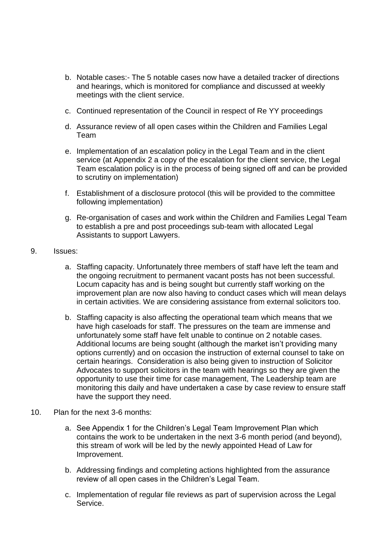- b. Notable cases:- The 5 notable cases now have a detailed tracker of directions and hearings, which is monitored for compliance and discussed at weekly meetings with the client service.
- c. Continued representation of the Council in respect of Re YY proceedings
- d. Assurance review of all open cases within the Children and Families Legal Team
- e. Implementation of an escalation policy in the Legal Team and in the client service (at Appendix 2 a copy of the escalation for the client service, the Legal Team escalation policy is in the process of being signed off and can be provided to scrutiny on implementation)
- f. Establishment of a disclosure protocol (this will be provided to the committee following implementation)
- g. Re-organisation of cases and work within the Children and Families Legal Team to establish a pre and post proceedings sub-team with allocated Legal Assistants to support Lawyers.
- 9. Issues:
	- a. Staffing capacity. Unfortunately three members of staff have left the team and the ongoing recruitment to permanent vacant posts has not been successful. Locum capacity has and is being sought but currently staff working on the improvement plan are now also having to conduct cases which will mean delays in certain activities. We are considering assistance from external solicitors too.
	- b. Staffing capacity is also affecting the operational team which means that we have high caseloads for staff. The pressures on the team are immense and unfortunately some staff have felt unable to continue on 2 notable cases. Additional locums are being sought (although the market isn't providing many options currently) and on occasion the instruction of external counsel to take on certain hearings. Consideration is also being given to instruction of Solicitor Advocates to support solicitors in the team with hearings so they are given the opportunity to use their time for case management, The Leadership team are monitoring this daily and have undertaken a case by case review to ensure staff have the support they need.
- 10. Plan for the next 3-6 months:
	- a. See Appendix 1 for the Children's Legal Team Improvement Plan which contains the work to be undertaken in the next 3-6 month period (and beyond), this stream of work will be led by the newly appointed Head of Law for Improvement.
	- b. Addressing findings and completing actions highlighted from the assurance review of all open cases in the Children's Legal Team.
	- c. Implementation of regular file reviews as part of supervision across the Legal Service.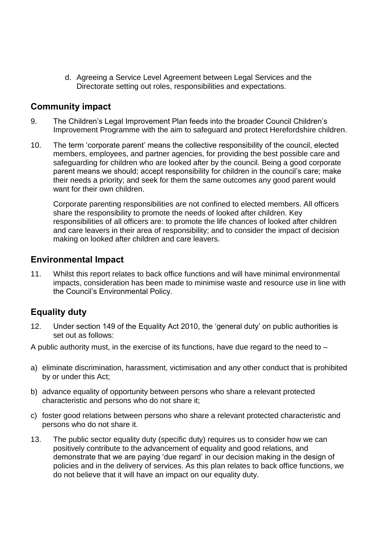d. Agreeing a Service Level Agreement between Legal Services and the Directorate setting out roles, responsibilities and expectations.

#### **Community impact**

- 9. The Children's Legal Improvement Plan feeds into the broader Council Children's Improvement Programme with the aim to safeguard and protect Herefordshire children.
- 10. The term 'corporate parent' means the collective responsibility of the council, elected members, employees, and partner agencies, for providing the best possible care and safeguarding for children who are looked after by the council. Being a good corporate parent means we should; accept responsibility for children in the council's care; make their needs a priority; and seek for them the same outcomes any good parent would want for their own children.

Corporate parenting responsibilities are not confined to elected members. All officers share the responsibility to promote the needs of looked after children. Key responsibilities of all officers are: to promote the life chances of looked after children and care leavers in their area of responsibility; and to consider the impact of decision making on looked after children and care leavers.

#### **Environmental Impact**

11. Whilst this report relates to back office functions and will have minimal environmental impacts, consideration has been made to minimise waste and resource use in line with the Council's Environmental Policy.

# **Equality duty**

12. Under section 149 of the Equality Act 2010, the 'general duty' on public authorities is set out as follows:

A public authority must, in the exercise of its functions, have due regard to the need to –

- a) eliminate discrimination, harassment, victimisation and any other conduct that is prohibited by or under this Act;
- b) advance equality of opportunity between persons who share a relevant protected characteristic and persons who do not share it;
- c) foster good relations between persons who share a relevant protected characteristic and persons who do not share it.
- 13. The public sector equality duty (specific duty) requires us to consider how we can positively contribute to the advancement of equality and good relations, and demonstrate that we are paying 'due regard' in our decision making in the design of policies and in the delivery of services. As this plan relates to back office functions, we do not believe that it will have an impact on our equality duty.